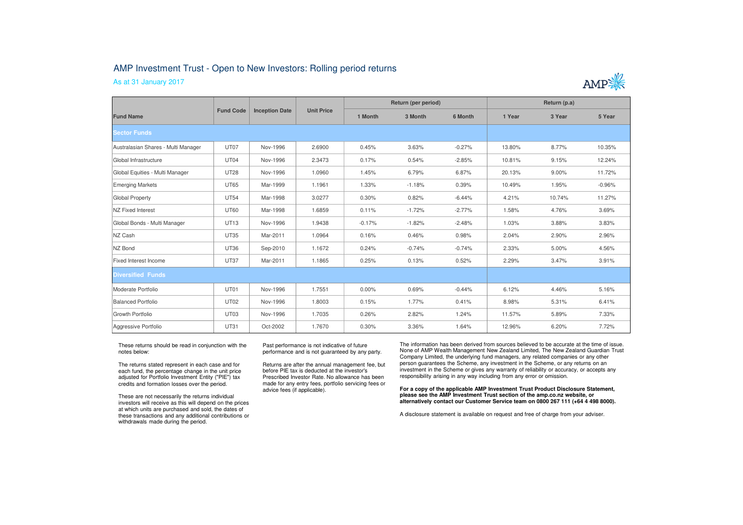## AMP Investment Trust - Open to New Investors: Rolling period returns

As at 31 January 2017



| <b>Fund Name</b>                    | <b>Fund Code</b> | <b>Inception Date</b> | <b>Unit Price</b> | Return (per period) |          |          | Return (p.a) |        |          |
|-------------------------------------|------------------|-----------------------|-------------------|---------------------|----------|----------|--------------|--------|----------|
|                                     |                  |                       |                   | 1 Month             | 3 Month  | 6 Month  | 1 Year       | 3 Year | 5 Year   |
| <b>Sector Funds</b>                 |                  |                       |                   |                     |          |          |              |        |          |
| Australasian Shares - Multi Manager | UT07             | Nov-1996              | 2.6900            | 0.45%               | 3.63%    | $-0.27%$ | 13.80%       | 8.77%  | 10.35%   |
| Global Infrastructure               | UT04             | Nov-1996              | 2.3473            | 0.17%               | 0.54%    | $-2.85%$ | 10.81%       | 9.15%  | 12.24%   |
| Global Equities - Multi Manager     | <b>UT28</b>      | Nov-1996              | 1.0960            | 1.45%               | 6.79%    | 6.87%    | 20.13%       | 9.00%  | 11.72%   |
| Emerging Markets                    | <b>UT65</b>      | Mar-1999              | 1.1961            | 1.33%               | $-1.18%$ | 0.39%    | 10.49%       | 1.95%  | $-0.96%$ |
| Global Property                     | <b>UT54</b>      | Mar-1998              | 3.0277            | 0.30%               | 0.82%    | $-6.44%$ | 4.21%        | 10.74% | 11.27%   |
| <b>NZ Fixed Interest</b>            | <b>UT60</b>      | Mar-1998              | 1.6859            | 0.11%               | $-1.72%$ | $-2.77%$ | 1.58%        | 4.76%  | 3.69%    |
| Global Bonds - Multi Manager        | <b>UT13</b>      | Nov-1996              | 1.9438            | $-0.17%$            | $-1.82%$ | $-2.48%$ | 1.03%        | 3.88%  | 3.83%    |
| NZ Cash                             | <b>UT35</b>      | Mar-2011              | 1.0964            | 0.16%               | 0.46%    | 0.98%    | 2.04%        | 2.90%  | 2.96%    |
| NZ Bond                             | <b>UT36</b>      | Sep-2010              | 1.1672            | 0.24%               | $-0.74%$ | $-0.74%$ | 2.33%        | 5.00%  | 4.56%    |
| Fixed Interest Income               | <b>UT37</b>      | Mar-2011              | 1.1865            | 0.25%               | 0.13%    | 0.52%    | 2.29%        | 3.47%  | 3.91%    |
| <b>Diversified Funds</b>            |                  |                       |                   |                     |          |          |              |        |          |
| Moderate Portfolio                  | UT01             | Nov-1996              | 1.7551            | 0.00%               | 0.69%    | $-0.44%$ | 6.12%        | 4.46%  | 5.16%    |
| Balanced Portfolio                  | <b>UT02</b>      | Nov-1996              | 1.8003            | 0.15%               | 1.77%    | 0.41%    | 8.98%        | 5.31%  | 6.41%    |
| Growth Portfolio                    | UT03             | Nov-1996              | 1.7035            | 0.26%               | 2.82%    | 1.24%    | 11.57%       | 5.89%  | 7.33%    |
| Aggressive Portfolio                | <b>UT31</b>      | Oct-2002              | 1.7670            | 0.30%               | 3.36%    | 1.64%    | 12.96%       | 6.20%  | 7.72%    |

These returns should be read in conjunction with the notes below:

The returns stated represent in each case and for each fund, the percentage change in the unit price adjusted for Portfolio Investment Entity ("PIE") tax credits and formation losses over the period.

These are not necessarily the returns individual investors will receive as this will depend on the prices at which units are purchased and sold, the dates of these transactions and any additional contributions or withdrawals made during the period.

Past performance is not indicative of future performance and is not guaranteed by any party.

Returns are after the annual management fee, but before PIE tax is deducted at the investor's Prescribed Investor Rate. No allowance has been made for any entry fees, portfolio servicing fees or advice fees (if applicable).

The information has been derived from sources believed to be accurate at the time of issue. None of AMP Wealth Management New Zealand Limited, The New Zealand Guardian Trust Company Limited, the underlying fund managers, any related companies or any other person guarantees the Scheme, any investment in the Scheme, or any returns on an investment in the Scheme or gives any warranty of reliability or accuracy, or accepts any responsibility arising in any way including from any error or omission.

**For a copy of the applicable AMP Investment Trust Product Disclosure Statement, please see the AMP Investment Trust section of the amp.co.nz website, or alternatively contact our Customer Service team on 0800 267 111 (+64 4 498 8000).**

A disclosure statement is available on request and free of charge from your adviser.